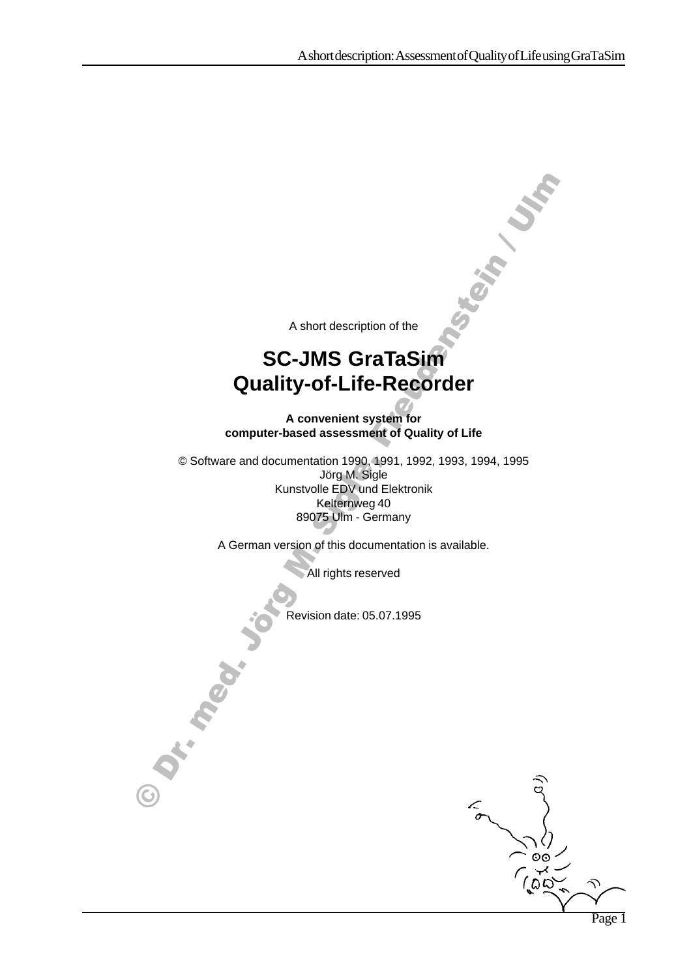**TORIAL VIA** 

A short description of the

## **SC-JMS GraTaSim Quality-of-Life-Recorder**

**A convenient system for computer-based assessment of Quality of Life**

 © Software and documentation 1990, 1991, 1992, 1993, 1994, 1995 Jörg M. Sigle Kunstvolle EDV und Elektronik Kelternweg 40 89075 Ulm - Germany

A German version of this documentation is available.

All rights reserved

Revision date: 05.07.1995

しんしょう アイ・シー・シー しょうしょう しょうしょう しょうしょう しょうしょう

しんしょう アイ・シー・シー しょうしょう しょうしょう しょうしょう しょうしょう

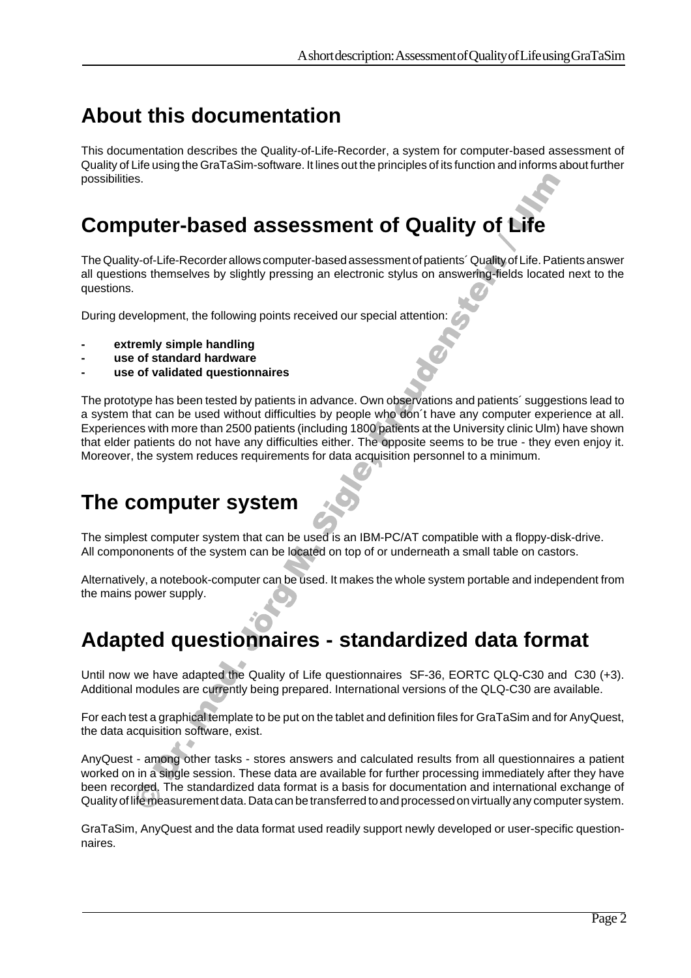# **About this documentation**

This documentation describes the Quality-of-Life-Recorder, a system for computer-based assessment of Quality of Life using the GraTaSim-software. It lines out the principles of its function and informs about further possibilities.

# **Computer-based assessment of Quality of Life**

The Quality-of-Life-Recorder allows computer-based assessment of patients´ Quality of Life. Patients answer all questions themselves by slightly pressing an electronic stylus on answering-fields located next to the questions.

During development, the following points received our special attention:

- **- extremly simple handling**
- **- use of standard hardware**
- **- use of validated questionnaires**

 Moreover, the system reduces requirements for data acquisition personnel to a minimum. The prototype has been tested by patients in advance. Own observations and patients´ suggestions lead to a system that can be used without difficulties by people who don´t have any computer experience at all. Experiences with more than 2500 patients (including 1800 patients at the University clinic Ulm) have shown that elder patients do not have any difficulties either. The opposite seems to be true - they even enjoy it.

### **The computer system**

しんしょう アイ・シー・シー しょうしょう しょうしょう しょうしょう しょうしょう

 All compononents of the system can be located on top of or underneath a small table on castors. The simplest computer system that can be used is an IBM-PC/AT compatible with a floppy-disk-drive.

Alternatively, a notebook-computer can be used. It makes the whole system portable and independent from the mains power supply.

## **Adapted questionnaires - standardized data format**

しんしょう アイ・シー・シー しょうしょう しょうしょう しょうしょう しょうしょう

Until now we have adapted the Quality of Life questionnaires SF-36, EORTC QLQ-C30 and C30 (+3). Additional modules are currently being prepared. International versions of the QLQ-C30 are available.

For each test a graphical template to be put on the tablet and definition files for GraTaSim and for AnyQuest, the data acquisition software, exist.

AnyQuest - among other tasks - stores answers and calculated results from all questionnaires a patient worked on in a single session. These data are available for further processing immediately after they have been recorded. The standardized data format is a basis for documentation and international exchange of Quality of life measurement data. Data can be transferred to and processed on virtually any computer system.

GraTaSim, AnyQuest and the data format used readily support newly developed or user-specific questionnaires.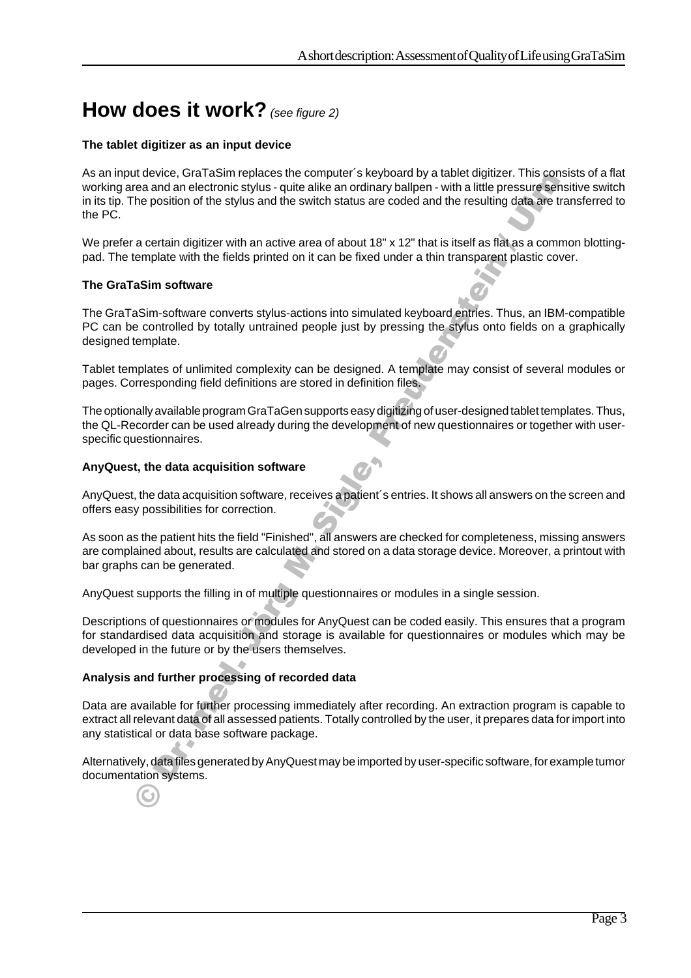## **How does it work?** (see figure 2)

#### **The tablet digitizer as an input device**

As an input device, GraTaSim replaces the computer´s keyboard by a tablet digitizer. This consists of a flat working area and an electronic stylus - quite alike an ordinary ballpen - with a little pressure sensitive switch in its tip. The position of the stylus and the switch status are coded and the resulting data are transferred to the PC.

We prefer a certain digitizer with an active area of about 18" x 12" that is itself as flat as a common blottingpad. The template with the fields printed on it can be fixed under a thin transparent plastic cover.

#### **The GraTaSim software**

The GraTaSim-software converts stylus-actions into simulated keyboard entries. Thus, an IBM-compatible PC can be controlled by totally untrained people just by pressing the stylus onto fields on a graphically designed template.

Tablet templates of unlimited complexity can be designed. A template may consist of several modules or pages. Corresponding field definitions are stored in definition files.

The optionally available program GraTaGen supports easy digitizing of user-designed tablet templates. Thus, the QL-Recorder can be used already during the development of new questionnaires or together with userspecific questionnaires.

**一个人的人,我们也不能在这里的人,我们也不能在这里的人,我们也不能在这里的人,我们也不能在这里的人,我们也不能在这里的人,我们也不能在这里的人,我们**是我们的人,

#### **AnyQuest, the data acquisition software**

AnyQuest, the data acquisition software, receives a patient´s entries. It shows all answers on the screen and offers easy possibilities for correction.

 are complained about, results are calculated and stored on a data storage device. Moreover, a printout with As soon as the patient hits the field "Finished", all answers are checked for completeness, missing answers bar graphs can be generated.

AnyQuest supports the filling in of multiple questionnaires or modules in a single session.

しんしょう アイ・シー・シー しょうしょう しょうしょう しょうしょう しょうしょう

Descriptions of questionnaires or modules for AnyQuest can be coded easily. This ensures that a program for standardised data acquisition and storage is available for questionnaires or modules which may be developed in the future or by the users themselves.

#### **Analysis and further processing of recorded data**

しんしょう アイ・シー・シー しょうしょう しょうしょう しょうしょう しょうしょう Data are available for further processing immediately after recording. An extraction program is capable to extract all relevant data of all assessed patients. Totally controlled by the user, it prepares data for import into any statistical or data base software package.

Alternatively, data files generated by AnyQuest may be imported by user-specific software, for example tumor documentation systems.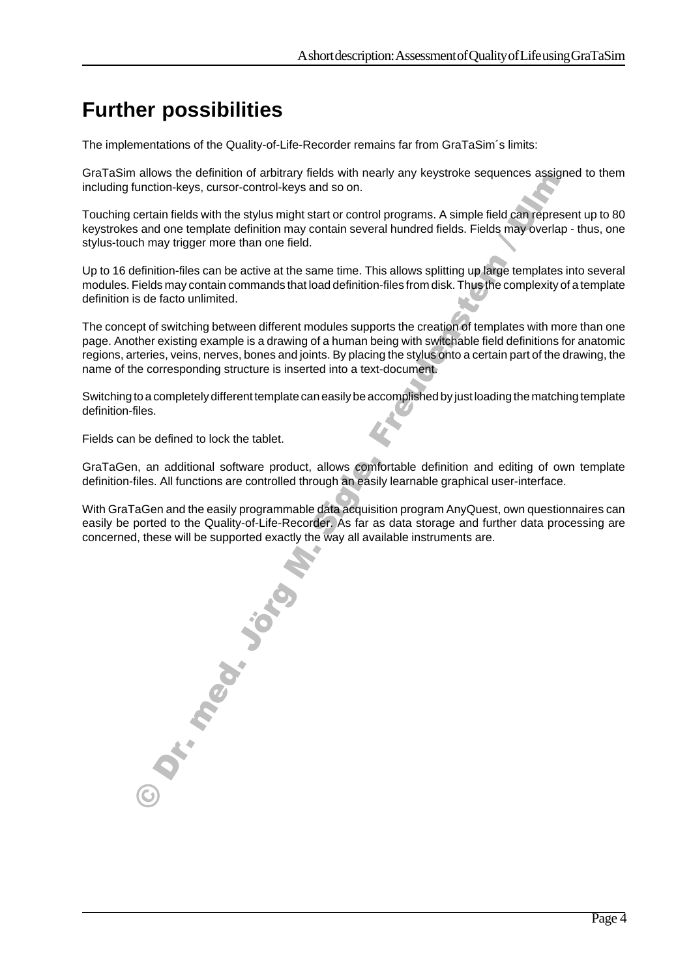## **Further possibilities**

The implementations of the Quality-of-Life-Recorder remains far from GraTaSim´s limits:

GraTaSim allows the definition of arbitrary fields with nearly any keystroke sequences assigned to them including function-keys, cursor-control-keys and so on.

Touching certain fields with the stylus might start or control programs. A simple field can represent up to 80 keystrokes and one template definition may contain several hundred fields. Fields may overlap - thus, one stylus-touch may trigger more than one field.

Up to 16 definition-files can be active at the same time. This allows splitting up large templates into several modules. Fields may contain commands that load definition-files from disk. Thus the complexity of a template definition is de facto unlimited.

The concept of switching between different modules supports the creation of templates with more than one page. Another existing example is a drawing of a human being with switchable field definitions for anatomic regions, arteries, veins, nerves, bones and joints. By placing the stylus onto a certain part of the drawing, the name of the corresponding structure is inserted into a text-document.

Switching to a completely different template can easily be accomplished by just loading the matching template definition-files.

Fields can be defined to lock the tablet.

GraTaGen, an additional software product, allows comfortable definition and editing of own template definition-files. All functions are controlled through an easily learnable graphical user-interface.

**一个人的人,我们也不能在这里的人,我们也不能在这里的人,我们也不能在这里的人,我们也不能在这里的人,我们也不能在这里的人,我们也不能在这里的人,我们**是我们的人,

With GraTaGen and the easily programmable data acquisition program AnyQuest, own questionnaires can easily be ported to the Quality-of-Life-Recorder. As far as data storage and further data processing are concerned, these will be supported exactly the way all available instruments are.

the contract of the contract of the contract of the contract of the contract of the contract of the contract of

しんしょう アイ・シー・シー しょうしょう しょうしょう しょうしょう しょうしょう しんしょう アイ・シー・シー しょうしょう しょうしょう しょうしょう しょうしょう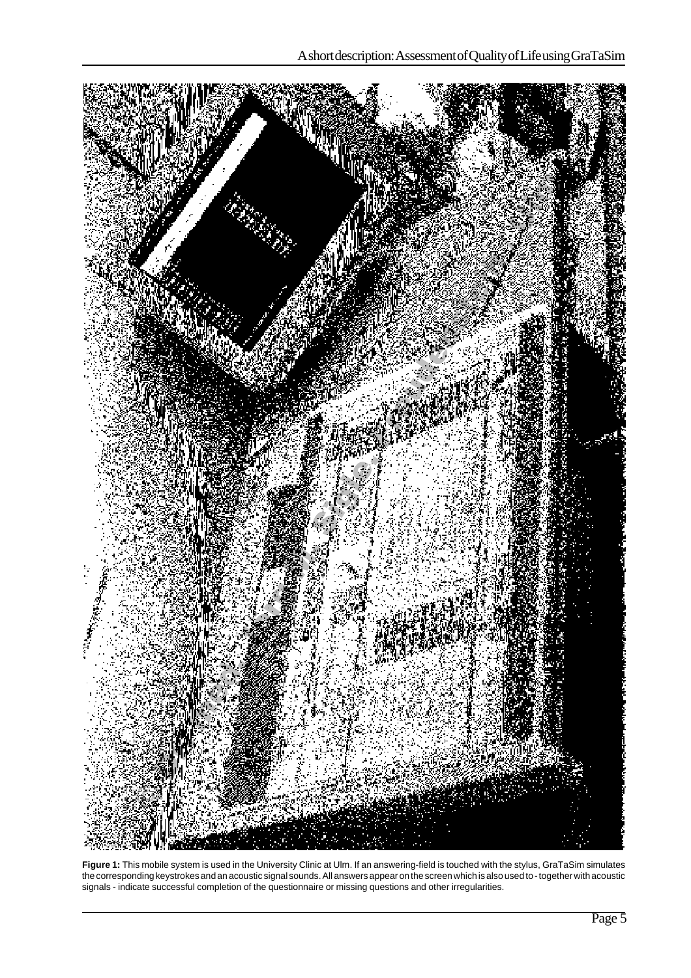

**Figure 1:** This mobile system is used in the University Clinic at Ulm. If an answering-field is touched with the stylus, GraTaSim simulates the corresponding keystrokes and an acoustic signal sounds. All answers appear on the screen which is also used to - together with acoustic signals - indicate successful completion of the questionnaire or missing questions and other irregularities.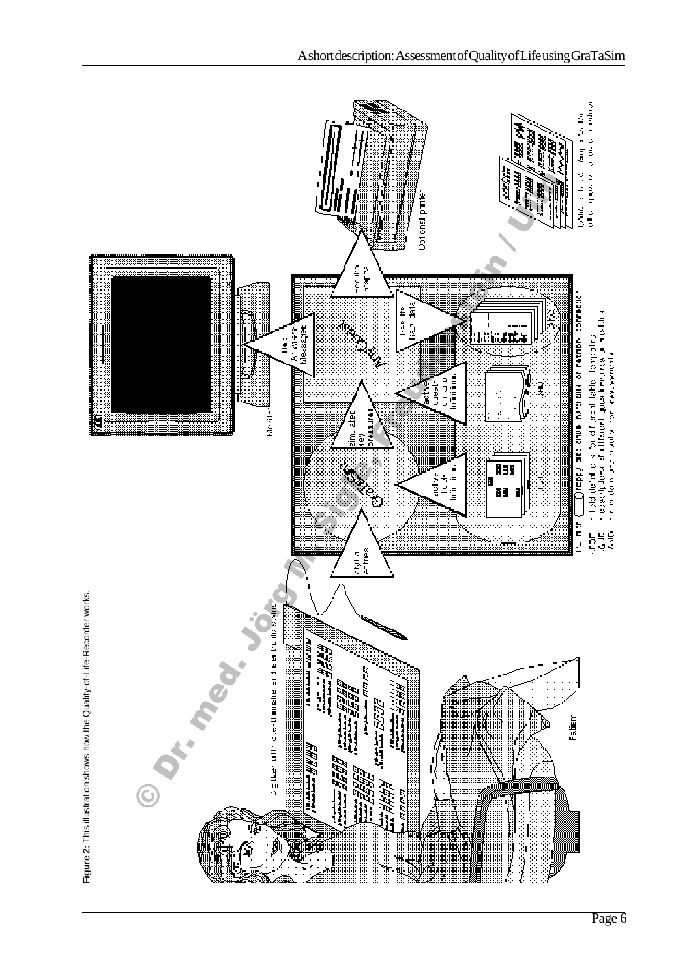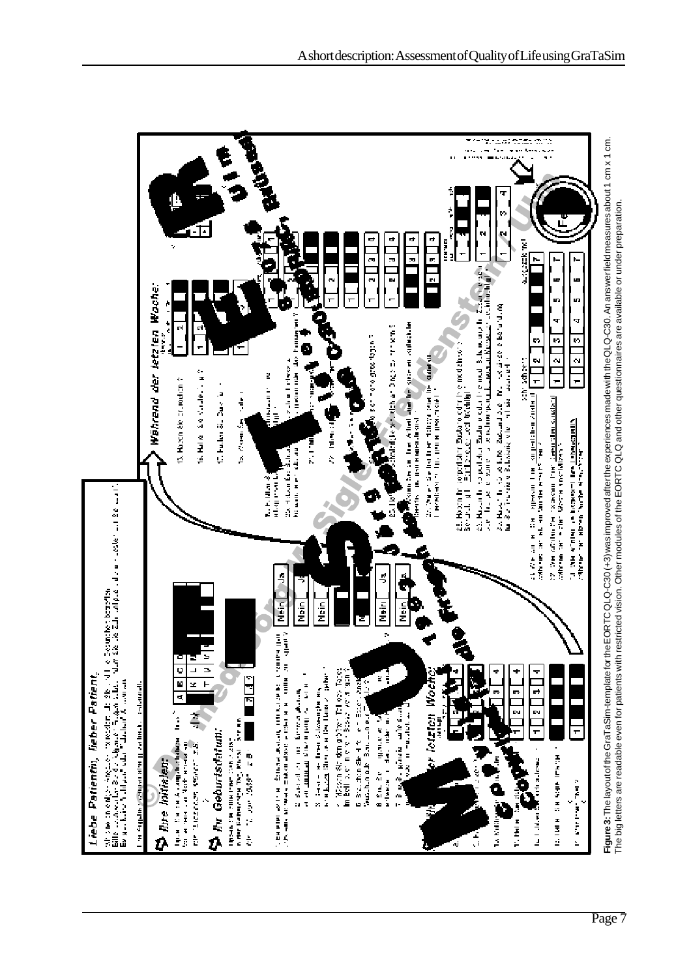